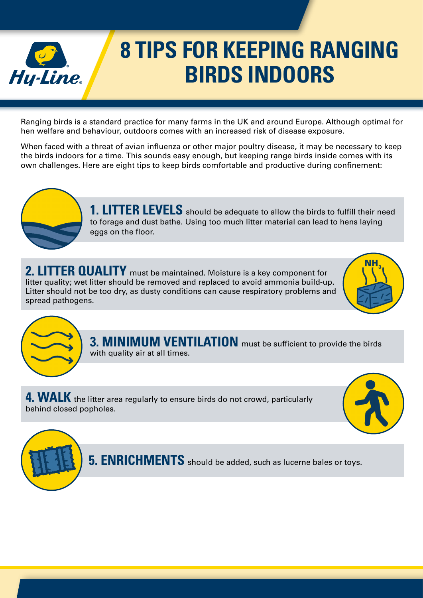

## **8 TIPS FOR KEEPING RANGING BIRDS INDOORS**

Ranging birds is a standard practice for many farms in the UK and around Europe. Although optimal for hen welfare and behaviour, outdoors comes with an increased risk of disease exposure.

When faced with a threat of avian influenza or other major poultry disease, it may be necessary to keep the birds indoors for a time. This sounds easy enough, but keeping range birds inside comes with its own challenges. Here are eight tips to keep birds comfortable and productive during confinement:



**1. LITTER LEVELS** should be adequate to allow the birds to fulfill their need to forage and dust bathe. Using too much litter material can lead to hens laying eggs on the floor.

**2. LITTER QUALITY** must be maintained. Moisture is a key component for litter quality; wet litter should be removed and replaced to avoid ammonia build-up. Litter should not be too dry, as dusty conditions can cause respiratory problems and spread pathogens.





**3. MINIMUM VENTILATION** must be sufficient to provide the birds with quality air at all times.

**4. WALK** the litter area regularly to ensure birds do not crowd, particularly behind closed popholes.



**5. ENRICHMENTS** should be added, such as lucerne bales or toys.